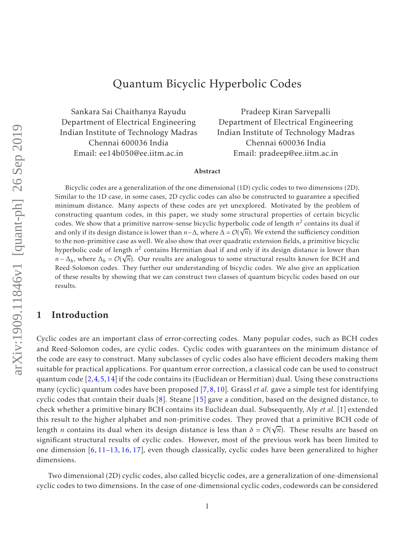# Quantum Bicyclic Hyperbolic Codes

Sankara Sai Chaithanya Rayudu Department of Electrical Engineering Indian Institute of Technology Madras Chennai 600036 India Email: ee14b050@ee.iitm.ac.in

Pradeep Kiran Sarvepalli Department of Electrical Engineering Indian Institute of Technology Madras Chennai 600036 India Email: pradeep@ee.iitm.ac.in

#### Abstract

Bicyclic codes are a generalization of the one dimensional (1D) cyclic codes to two dimensions (2D). Similar to the 1D case, in some cases, 2D cyclic codes can also be constructed to guarantee a specified minimum distance. Many aspects of these codes are yet unexplored. Motivated by the problem of constructing quantum codes, in this paper, we study some structural properties of certain bicyclic codes. We show that a primitive narrow-sense bicyclic hyperbolic code of length  $n^2$  contains its dual if and only if its design distance is lower than *<sup>n</sup>*−∆, where <sup>∆</sup> <sup>=</sup> <sup>O</sup>( √ *n*). We extend the sufficiency condition to the non-primitive case as well. We also show that over quadratic extension fields, a primitive bicyclic hyperbolic code of length *n* 2 contains Hermitian dual if and only if its design distance is lower than  $n - \Delta_h$ , where  $\Delta_h = \mathcal{O}(\sqrt{n})$ . Our results are analogous to some structural results known for BCH and Reed-Solomon codes. They further our understanding of bicyclic codes. We also give an application of these results by showing that we can construct two classes of quantum bicyclic codes based on our results.

### 1 Introduction

Cyclic codes are an important class of error-correcting codes. Many popular codes, such as BCH codes and Reed-Solomon codes, are cyclic codes. Cyclic codes with guarantees on the minimum distance of the code are easy to construct. Many subclasses of cyclic codes also have efficient decoders making them suitable for practical applications. For quantum error correction, a classical code can be used to construct quantum code [2,4,5,14] if the code contains its (Euclidean or Hermitian) dual. Using these constructions many (cyclic) quantum codes have been proposed [7,8,10]. Grassl *et al.* gave a simple test for identifying cyclic codes that contain their duals  $[8]$ . Steane  $[15]$  gave a condition, based on the designed distance, to check whether a primitive binary BCH contains its Euclidean dual. Subsequently, Aly *et al.* [1] extended this result to the higher alphabet and non-primitive codes. They proved that a primitive BCH code of length *n* contains its dual when its design distance is less than  $\delta = \mathcal{O}(\sqrt{n})$ . These results are based on significant structural results of cyclic codes. However, most of the previous work has been limited to one dimension [6, 11–13, 16, 17], even though classically, cyclic codes have been generalized to higher dimensions.

Two dimensional (2D) cyclic codes, also called bicyclic codes, are a generalization of one-dimensional cyclic codes to two dimensions. In the case of one-dimensional cyclic codes, codewords can be considered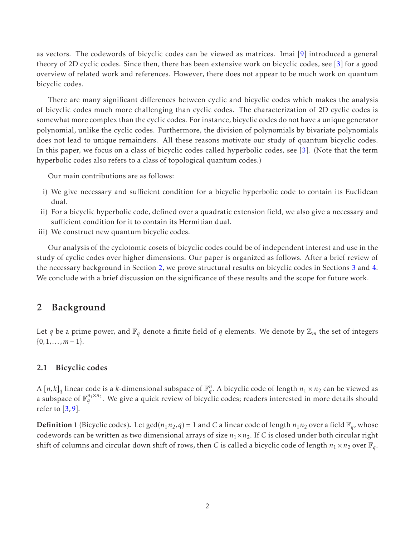as vectors. The codewords of bicyclic codes can be viewed as matrices. Imai [9] introduced a general theory of 2D cyclic codes. Since then, there has been extensive work on bicyclic codes, see [3] for a good overview of related work and references. However, there does not appear to be much work on quantum bicyclic codes.

There are many significant differences between cyclic and bicyclic codes which makes the analysis of bicyclic codes much more challenging than cyclic codes. The characterization of 2D cyclic codes is somewhat more complex than the cyclic codes. For instance, bicyclic codes do not have a unique generator polynomial, unlike the cyclic codes. Furthermore, the division of polynomials by bivariate polynomials does not lead to unique remainders. All these reasons motivate our study of quantum bicyclic codes. In this paper, we focus on a class of bicyclic codes called hyperbolic codes, see [3]. (Note that the term hyperbolic codes also refers to a class of topological quantum codes.)

Our main contributions are as follows:

- i) We give necessary and sufficient condition for a bicyclic hyperbolic code to contain its Euclidean dual.
- ii) For a bicyclic hyperbolic code, defined over a quadratic extension field, we also give a necessary and sufficient condition for it to contain its Hermitian dual.
- iii) We construct new quantum bicyclic codes.

Our analysis of the cyclotomic cosets of bicyclic codes could be of independent interest and use in the study of cyclic codes over higher dimensions. Our paper is organized as follows. After a brief review of the necessary background in Section 2, we prove structural results on bicyclic codes in Sections 3 and 4. We conclude with a brief discussion on the significance of these results and the scope for future work.

### 2 Background

Let *q* be a prime power, and  $\mathbb{F}_q$  denote a finite field of *q* elements. We denote by  $\mathbb{Z}_m$  the set of integers  $\{0,1,\ldots,m-1\}.$ 

### 2.1 Bicyclic codes

A  $[n,k]_q$  linear code is a *k*-dimensional subspace of  $\mathbb{F}_q^n$ . A bicyclic code of length  $n_1 \times n_2$  can be viewed as a subspace of  $\mathbb{F}_q^{n_1\times n_2}$ . We give a quick review of bicyclic codes; readers interested in more details should refer to  $\left[3, 9\right]$ .

**Definition 1** (Bicyclic codes). Let  $gcd(n_1n_2, q) = 1$  and *C* a linear code of length  $n_1n_2$  over a field  $\mathbb{F}_q$ , whose codewords can be written as two dimensional arrays of size  $n_1 \times n_2$ . If *C* is closed under both circular right shift of columns and circular down shift of rows, then *C* is called a bicyclic code of length  $n_1 \times n_2$  over  $\mathbb{F}_q$ .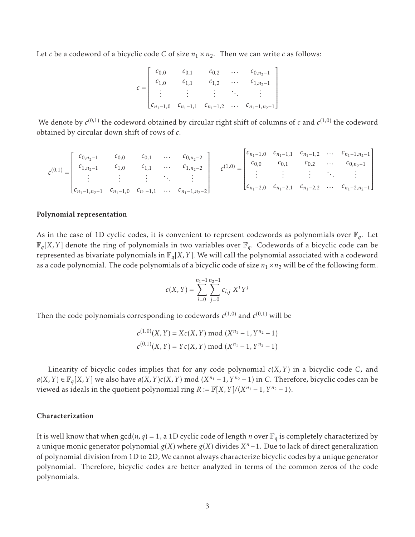Let *c* be a codeword of a bicyclic code *C* of size  $n_1 \times n_2$ . Then we can write *c* as follows:

$$
c = \begin{bmatrix} c_{0,0} & c_{0,1} & c_{0,2} & \dots & c_{0,n_2-1} \\ c_{1,0} & c_{1,1} & c_{1,2} & \dots & c_{1,n_2-1} \\ \vdots & \vdots & \vdots & \ddots & \vdots \\ c_{n_1-1,0} & c_{n_1-1,1} & c_{n_1-1,2} & \dots & c_{n_1-1,n_2-1} \end{bmatrix}
$$

We denote by  $c^{(0,1)}$  the codeword obtained by circular right shift of columns of  $c$  and  $c^{(1,0)}$  the codeword obtained by circular down shift of rows of *c*.

$$
c^{(0,1)} = \begin{bmatrix} c_{0,n_2-1} & c_{0,0} & c_{0,1} & \dots & c_{0,n_2-2} \\ c_{1,n_2-1} & c_{1,0} & c_{1,1} & \dots & c_{1,n_2-2} \\ \vdots & \vdots & \vdots & \ddots & \vdots \\ c_{n_1-1,n_2-1} & c_{n_1-1,0} & c_{n_1-1,1} & \dots & c_{n_1-1,n_2-2} \end{bmatrix} \quad c^{(1,0)} = \begin{bmatrix} c_{n_1-1,0} & c_{n_1-1,1} & c_{n_1-1,2} & \dots & c_{n_1-1,n_2-1} \\ c_{0,0} & c_{0,1} & c_{0,2} & \dots & c_{0,n_2-1} \\ \vdots & \vdots & \vdots & \ddots & \vdots \\ c_{n_1-2,0} & c_{n_1-2,1} & c_{n_1-2,2} & \dots & c_{n_1-2,n_2-1} \end{bmatrix}
$$

#### Polynomial representation

As in the case of 1D cyclic codes, it is convenient to represent codewords as polynomials over  $\mathbb{F}_q$ . Let  $\mathbb{F}_q[X,Y]$  denote the ring of polynomials in two variables over  $\mathbb{F}_q$ . Codewords of a bicyclic code can be represented as bivariate polynomials in  $\mathbb{F}_q[X,Y]$ . We will call the polynomial associated with a codeword as a code polynomial. The code polynomials of a bicyclic code of size  $n_1 \times n_2$  will be of the following form.

$$
c(X, Y) = \sum_{i=0}^{n_1 - 1} \sum_{j=0}^{n_2 - 1} c_{i,j} X^i Y^j
$$

Then the code polynomials corresponding to codewords  $c^{(1,0)}$  and  $c^{(0,1)}$  will be

$$
c^{(1,0)}(X,Y) = Xc(X,Y) \bmod (X^{n_1} - 1, Y^{n_2} - 1)
$$
  

$$
c^{(0,1)}(X,Y) = Yc(X,Y) \bmod (X^{n_1} - 1, Y^{n_2} - 1)
$$

Linearity of bicyclic codes implies that for any code polynomial *c*(*X,Y*) in a bicyclic code *C*, and *a*(*X,Y*) ∈  $\mathbb{F}_q[X, Y]$  we also have *a*(*X,Y*)*c*(*X,Y*) mod (*X*<sup>*n*<sub>1</sub></sub> − 1,*Y*<sup>*n*<sub>2</sub></sub> − 1) in *C*. Therefore, bicyclic codes can be</sup></sup> viewed as ideals in the quotient polynomial ring  $R := \mathbb{F}[X, Y]/\langle X^{n_1} - 1, Y^{n_2} - 1 \rangle$ .

#### Characterization

It is well know that when  $gcd(n, q) = 1$ , a 1D cyclic code of length *n* over  $\mathbb{F}_q$  is completely characterized by a unique monic generator polynomial *g*(*X*) where *g*(*X*) divides *X <sup>n</sup>*−1. Due to lack of direct generalization of polynomial division from 1D to 2D, We cannot always characterize bicyclic codes by a unique generator polynomial. Therefore, bicyclic codes are better analyzed in terms of the common zeros of the code polynomials.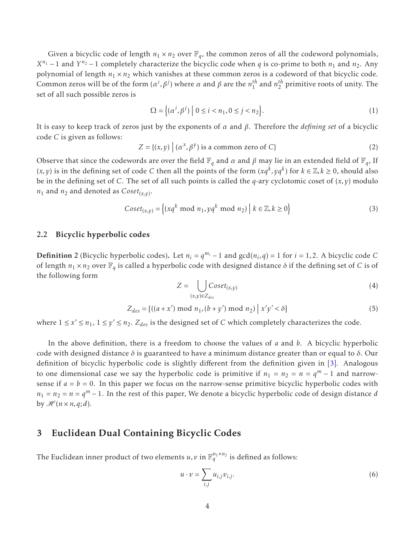Given a bicyclic code of length  $n_1 \times n_2$  over  $\mathbb{F}_q$ , the common zeros of all the codeword polynomials, *X*<sup>*n*1</sup> − 1 and *Y*<sup>*n*2 − 1 completely characterize the bicyclic code when *q* is co-prime to both *n*<sub>1</sub> and *n*<sub>2</sub>. Any</sup> polynomial of length  $n_1 \times n_2$  which vanishes at these common zeros is a codeword of that bicyclic code. Common zeros will be of the form  $(\alpha^i, \beta^j)$  where *α* and *β* are the  $n_1^{th}$  and  $n_2^{th}$  primitive roots of unity. The set of all such possible zeros is

$$
\Omega = \left\{ (\alpha^i, \beta^j) \mid 0 \le i < n_1, 0 \le j < n_2 \right\}.\tag{1}
$$

It is easy to keep track of zeros just by the exponents of *α* and *β*. Therefore the *defining set* of a bicyclic code *C* is given as follows:

$$
Z = \{(x, y) \mid (\alpha^x, \beta^y) \text{ is a common zero of } C\}
$$
 (2)

Observe that since the codewords are over the field  $\mathbb{F}_q$  and  $\alpha$  and  $\beta$  may lie in an extended field of  $\mathbb{F}_q$ , If  $(x, y)$  is in the defining set of code *C* then all the points of the form  $(xq^k, yq^k)$  for  $k \in \mathbb{Z}, k \ge 0$ , should also be in the defining set of *C*. The set of all such points is called the *q*-ary cyclotomic coset of (*x,y*) modulo  $n_1$  and  $n_2$  and denoted as  $\mathit{Coset}_{(x,y)}.$ 

$$
Coset_{(x,y)} = \{(xq^k \bmod n_1, yq^k \bmod n_2) \mid k \in \mathbb{Z}, k \ge 0\}
$$
 (3)

### 2.2 Bicyclic hyperbolic codes

**Definition** 2 (Bicyclic hyperbolic codes). Let  $n_i = q^{m_i} - 1$  and  $gcd(n_i, q) = 1$  for  $i = 1, 2$ . A bicyclic code *C* of length  $n_1 \times n_2$  over  $\mathbb{F}_q$  is called a hyperbolic code with designed distance  $\delta$  if the defining set of *C* is of the following form

$$
Z = \bigcup_{(x,y)\in Z_{des}} Cost_{(x,y)}
$$
(4)

$$
Z_{des} = \{ ((a+x') \bmod n_1, (b+y') \bmod n_2) \mid x'y' < \delta \}
$$
 (5)

where  $1 \le x' \le n_1$ ,  $1 \le y' \le n_2$ .  $Z_{des}$  is the designed set of *C* which completely characterizes the code.

In the above definition, there is a freedom to choose the values of *a* and *b*. A bicyclic hyperbolic code with designed distance *δ* is guaranteed to have a minimum distance greater than or equal to *δ*. Our definition of bicyclic hyperbolic code is slightly different from the definition given in [3]. Analogous to one dimensional case we say the hyperbolic code is primitive if  $n_1 = n_2 = n = q^m - 1$  and narrowsense if  $a = b = 0$ . In this paper we focus on the narrow-sense primitive bicyclic hyperbolic codes with  $n_1 = n_2 = n = q^m - 1$ . In the rest of this paper, We denote a bicyclic hyperbolic code of design distance *d* by  $\mathcal{H}(n \times n, q; d)$ .

### 3 Euclidean Dual Containing Bicyclic Codes

The Euclidean inner product of two elements  $u, v$  in  $\mathbb{F}_q^{n_1 \times n_2}$  is defined as follows:

$$
u \cdot v = \sum_{i,j} u_{i,j} v_{i,j}.
$$
 (6)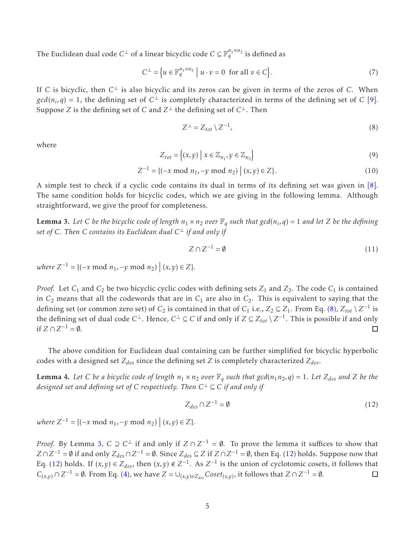The Euclidean dual code  $C^{\perp}$  of a linear bicyclic code  $C \subseteq \mathbb{F}_q^{n_1 \times n_2}$  is defined as

$$
C^{\perp} = \left\{ u \in \mathbb{F}_q^{n_1 \times n_2} \mid u \cdot v = 0 \text{ for all } v \in C \right\}.
$$
 (7)

If *C* is bicyclic, then *C* ⊥ is also bicyclic and its zeros can be given in terms of the zeros of *C*. When  $gcd(n_i,q) = 1$ , the defining set of  $C^{\perp}$  is completely characterized in terms of the defining set of *C* [9]. Suppose *Z* is the defining set of *C* and  $Z^\perp$  the defining set of  $C^\perp$ . Then

$$
Z^{\perp} = Z_{tot} \setminus Z^{-1},\tag{8}
$$

where

$$
Z_{tot} = \left\{ (x, y) \mid x \in \mathbb{Z}_{n_1}, y \in \mathbb{Z}_{n_2} \right\}
$$
\n
$$
(9)
$$

$$
Z^{-1} = \{ (-x \mod n_1, -y \mod n_2) \mid (x, y) \in Z \}.
$$
 (10)

A simple test to check if a cyclic code contains its dual in terms of its defining set was given in [8]. The same condition holds for bicyclic codes, which we are giving in the following lemma. Although straightforward, we give the proof for completeness.

**Lemma 3.** Let C be the bicyclic code of length  $n_1 \times n_2$  over  $\mathbb{F}_q$  such that  $gcd(n_i, q) = 1$  and let Z be the defining *set of C. Then C contains its Euclidean dual C* ⊥ *if and only if*

$$
Z \cap Z^{-1} = \emptyset \tag{11}
$$

 $where Z^{-1} = {(-x \text{ mod } n_1, -y \text{ mod } n_2) | (x, y) \in Z}.$ 

*Proof.* Let  $C_1$  and  $C_2$  be two bicyclic cyclic codes with defining sets  $Z_1$  and  $Z_2$ . The code  $C_1$  is contained in  $C_2$  means that all the codewords that are in  $C_1$  are also in  $C_2$ . This is equivalent to saying that the defining set (or common zero set) of *C*<sub>2</sub> is contained in that of *C*<sub>1</sub> i.e.,  $Z_2 \subseteq Z_1$ . From Eq. (8),  $Z_{tot} \setminus Z^{-1}$  is the defining set of dual code  $C^{\perp}$ . Hence,  $C^{\perp} \subseteq C$  if and only if  $Z \subseteq Z_{tot} \setminus Z^{-1}$ . This is possible if and only if  $Z \cap Z^{-1} = ∅$ . ◻

The above condition for Euclidean dual containing can be further simplified for bicyclic hyperbolic codes with a designed set *Zdes* since the defining set *Z* is completely characterized *Zdes*.

**Lemma 4.** Let C be a bicyclic code of length  $n_1 \times n_2$  over  $\mathbb{F}_q$  such that gcd( $n_1n_2, q$ ) = 1. Let  $Z_{des}$  and Z be the *designed set and defining set of C respectively. Then C* <sup>⊥</sup> ⊆ *C if and only if*

$$
Z_{des} \cap Z^{-1} = \emptyset \tag{12}
$$

 $where Z^{-1} = {(-x \text{ mod } n_1, -y \text{ mod } n_2) | (x, y) \in Z}.$ 

*Proof.* By Lemma 3,  $C \supseteq C^{\perp}$  if and only if  $Z \cap Z^{-1} = \emptyset$ . To prove the lemma it suffices to show that *Z* ∩ *Z*<sup>−1</sup> = ∅ if and only  $Z_{des}$  ∩ *Z*<sup>−1</sup> = ∅. Since  $Z_{des}$  ⊆ *Z* if *Z* ∩ *Z*<sup>−1</sup> = ∅, then Eq. (12) holds. Suppose now that Eq. (12) holds. If  $(x, y) \in Z_{des}$ , then  $(x, y) \notin Z^{-1}$ . As  $Z^{-1}$  is the union of cyclotomic cosets, it follows that *C*<sub>(*x,y*)</sub> ∩ *Z*<sup>-1</sup> = ∅. From Eq. (4), we have *Z* = ∪<sub>(*x,y*)∈*Z*<sub>des</sub> *Coset*<sub>(*x,y*)</sub>, it follows that *Z* ∩ *Z*<sup>-1</sup> = ∅.</sub>  $\Box$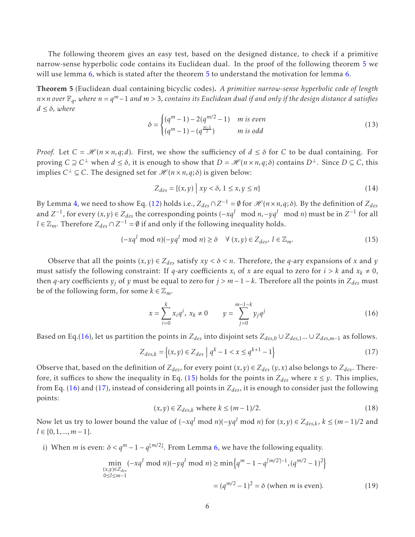The following theorem gives an easy test, based on the designed distance, to check if a primitive narrow-sense hyperbolic code contains its Euclidean dual. In the proof of the following theorem 5 we will use lemma 6, which is stated after the theorem 5 to understand the motivation for lemma 6.

Theorem 5 (Euclidean dual containing bicyclic codes). *A primitive narrow-sense hyperbolic code of length <sup>n</sup>*×*<sup>n</sup> over* <sup>F</sup>*<sup>q</sup> , where n* = *q <sup>m</sup>* <sup>−</sup><sup>1</sup> *and m >* <sup>3</sup>*, contains its Euclidean dual if and only if the design distance <sup>d</sup> satisfies*  $d \leq \delta$ *, where* 

$$
\delta = \begin{cases} (q^m - 1) - 2(q^{m/2} - 1) & m \text{ is even} \\ (q^m - 1) - (q^{\frac{m-1}{2}}) & m \text{ is odd} \end{cases}
$$
(13)

*Proof.* Let  $C = \mathcal{H}(n \times n, q; d)$ . First, we show the sufficiency of  $d \leq \delta$  for C to be dual containing. For proving  $C \supseteq C^{\perp}$  when  $d \leq \delta$ , it is enough to show that  $D = \mathcal{H}$  ( $n \times n$ ,  $q$ ;  $\delta$ ) contains  $D^{\perp}$ . Since  $D \subseteq C$ , this implies  $C^{\perp} \subseteq C$ . The designed set for  $\mathcal{H}(n \times n, q; \delta)$  is given below:

$$
Z_{des} = \{(x, y) \mid xy < \delta, 1 \le x, y \le n\} \tag{14}
$$

By Lemma 4, we need to show Eq. (12) holds i.e.,  $Z_{des} \cap Z^{-1} = \emptyset$  for  $\mathscr{H}(n \times n, q; \delta)$ . By the definition of  $Z_{des}$ and  $Z^{-1}$ , for every  $(x, y) \in Z_{des}$  the corresponding points  $(-xq^l \mod n, -yq^l \mod n)$  must be in  $Z^{-1}$  for all *l* ∈  $\mathbb{Z}_m$ . Therefore  $Z_{des} \cap Z^{-1} = \emptyset$  if and only if the following inequality holds.

$$
(-xq^{l} \bmod n)(-yq^{l} \bmod n) \ge \delta \quad \forall (x, y) \in Z_{des}, l \in \mathbb{Z}_m.
$$
 (15)

Observe that all the points  $(x, y) \in Z_{des}$  satisfy  $xy < \delta < n$ . Therefore, the *q*-ary expansions of *x* and *y* must satisfy the following constraint: If *q*-ary coefficients  $x_i$  of *x* are equal to zero for  $i > k$  and  $x_k \neq 0$ , then *q*-ary coefficients  $y_i$  of *y* must be equal to zero for  $j > m - 1 - k$ . Therefore all the points in  $Z_{des}$  must be of the following form, for some  $k \in \mathbb{Z}_m$ .

$$
x = \sum_{i=0}^{k} x_i q^i, \ x_k \neq 0 \qquad y = \sum_{j=0}^{m-1-k} y_j q^j \tag{16}
$$

Based on Eq.(16), let us partition the points in  $Z_{des}$  into disjoint sets  $Z_{des,0} \cup Z_{des,1}... \cup Z_{des,m-1}$  as follows.

$$
Z_{des,k} = \{(x, y) \in Z_{des} \mid q^k - 1 < x \le q^{k+1} - 1\} \tag{17}
$$

Observe that, based on the definition of  $Z_{des}$ , for every point  $(x, y) \in Z_{des}$   $(y, x)$  also belongs to  $Z_{des}$ . Therefore, it suffices to show the inequality in Eq. (15) holds for the points in  $Z_{des}$  where  $x \le y$ . This implies, from Eq. (16) and (17), instead of considering all points in *Zdes*, it is enough to consider just the following points:

$$
(x, y) \in Z_{des,k} \text{ where } k \le (m-1)/2. \tag{18}
$$

Now let us try to lower bound the value of  $(-xq^l \mod n)(-yq^l \mod n)$  for  $(x, y) \in Z_{des,k}$ ,  $k ≤ (m-1)/2$  and  $l \in \{0, 1, ..., m-1\}.$ 

i) When *m* is even:  $\delta < q^m - 1 - q^{\lfloor m/2 \rfloor}$ . From Lemma 6, we have the following equality.

$$
\min_{\substack{(x,y)\in Z_{des} \\ 0\le l\le m-1}} (-xq^l \mod n)(-yq^l \mod n) \ge \min\left\{q^m - 1 - q^{\lceil m/2 \rceil - 1}, (q^{m/2} - 1)^2\right\}
$$
\n
$$
= (q^{m/2} - 1)^2 = \delta \text{ (when } m \text{ is even).}
$$
\n(19)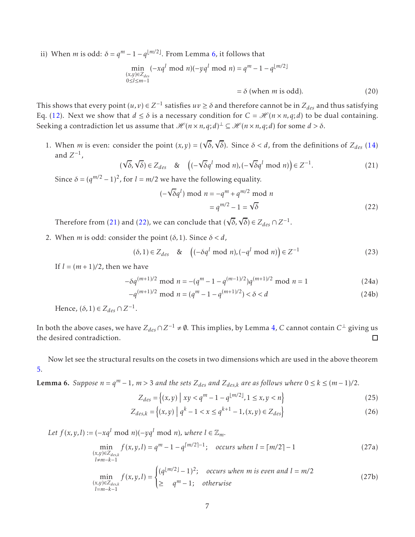ii) When *m* is odd:  $\delta = q^m - 1 - q^{\lfloor m/2 \rfloor}$ . From Lemma 6, it follows that

$$
\min_{\substack{(x,y)\in Z_{des} \\ 0\le l\le m-1}} (-xq^l \mod n)(-yq^l \mod n) = q^m - 1 - q^{\lfloor m/2 \rfloor}
$$

 $= \delta$  (when *m* is odd). (20)

This shows that every point  $(u, v) \in Z^{-1}$  satisfies  $uv \ge \delta$  and therefore cannot be in  $Z_{des}$  and thus satisfying Eq. (12). Next we show that  $d \le \delta$  is a necessary condition for  $C = \mathcal{H}(n \times n, q; d)$  to be dual containing. Seeking a contradiction let us assume that  $\mathscr{H}(n \times n, q; d) \perp \subseteq \mathscr{H}(n \times n, q; d)$  for some  $d > \delta$ .

1. When *m* is even: consider the point  $(x, y) = (\sqrt{\delta}, \sqrt{\delta})$ . Since  $\delta < d$ , from the definitions of  $Z_{des}$  (14) and  $Z^{-1}$ ,

$$
(\sqrt{\delta}, \sqrt{\delta}) \in Z_{des} \quad \& \quad \left( (-\sqrt{\delta} q^l \bmod n), (-\sqrt{\delta} q^l \bmod n) \right) \in Z^{-1}.
$$
 (21)

Since  $\delta = (q^{m/2} - 1)^2$ , for  $l = m/2$  we have the following equality.

$$
(-\sqrt{\delta}q^{l}) \bmod n = -q^{m} + q^{m/2} \bmod n
$$

$$
= q^{m/2} - 1 = \sqrt{\delta}
$$
(22)

Therefore from (21) and (22), we can conclude that  $(\sqrt{\delta}, \sqrt{\delta}) \in Z_{des} \cap Z^{-1}$ .

2. When *m* is odd: consider the point  $(\delta, 1)$ . Since  $\delta < d$ ,

$$
(\delta, 1) \in Z_{des} \quad \& \quad \left( (-\delta q^l \bmod n), (-q^l \bmod n) \right) \in Z^{-1} \tag{23}
$$

If  $l = (m+1)/2$ , then we have

$$
-\delta q^{(m+1)/2} \text{ mod } n = -(q^m - 1 - q^{(m-1)/2})q^{(m+1)/2} \text{ mod } n = 1
$$
 (24a)

$$
-q^{(m+1)/2} \mod n = (q^m - 1 - q^{(m+1)/2}) < \delta < d \tag{24b}
$$

Hence,  $(\delta, 1) \in Z_{des} \cap Z^{-1}$ .

In both the above cases, we have  $Z_{des} \cap Z^{-1} \neq \emptyset$ . This implies, by Lemma 4, *C* cannot contain  $C^{\perp}$  giving us the desired contradiction. ◻

Now let see the structural results on the cosets in two dimensions which are used in the above theorem 5.

**Lemma 6.** Suppose  $n = q^m - 1$ ,  $m > 3$  and the sets  $Z_{des}$  and  $Z_{des,k}$  are as follows where  $0 ≤ k ≤ (m - 1)/2$ .

$$
Z_{des} = \{(x, y) \mid xy < q^m - 1 - q^{\lfloor m/2 \rfloor}, 1 \le x, y < n\} \tag{25}
$$

$$
Z_{des,k} = \{(x, y) \mid q^k - 1 < x \le q^{k+1} - 1, (x, y) \in Z_{des}\} \tag{26}
$$

*Let*  $f(x, y, l) := (-xq^l \mod n)(-yq^l \mod n)$ , where  $l \in \mathbb{Z}_m$ .

$$
\min_{\substack{(x,y)\in Z_{des,k}\\l\neq m-k-1}} f(x,y,l) = q^m - 1 - q^{\lceil m/2 \rceil - 1}; \quad occurs \text{ when } l = \lceil m/2 \rceil - 1 \tag{27a}
$$

$$
\min_{\substack{(x,y)\in Z_{des,k}\\l=m-k-1}} f(x,y,l) = \begin{cases} (q^{\lfloor m/2 \rfloor} - 1)^2; & \text{occurs when } m \text{ is even and } l = m/2\\ \geq & q^m - 1; \text{ otherwise} \end{cases}
$$
 (27b)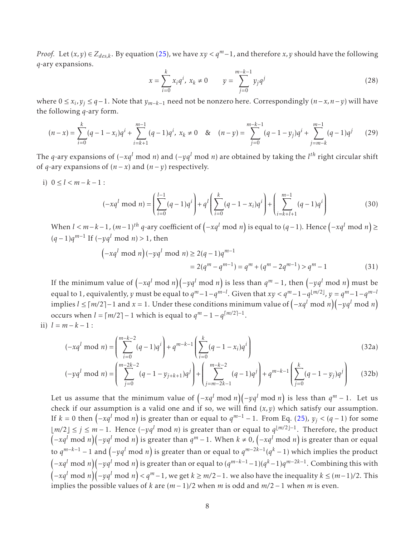*Proof.* Let  $(x, y)$  ∈  $Z_{des,k}$ . By equation (25), we have  $xy < q<sup>m</sup>$ –1, and therefore *x*, *y* should have the following *q*-ary expansions.

$$
x = \sum_{i=0}^{k} x_i q^i, \ x_k \neq 0 \qquad y = \sum_{j=0}^{m-k-1} y_j q^j \tag{28}
$$

where 0 ≤ *x<sup>i</sup> ,y<sup>j</sup>* ≤ *q*−1. Note that *ym*−*k*−<sup>1</sup> need not be nonzero here. Correspondingly (*n*−*x,n*−*y*) will have the following *q*-ary form.

$$
(n-x) = \sum_{i=0}^{k} (q-1-x_i)q^i + \sum_{i=k+1}^{m-1} (q-1)q^i, \ x_k \neq 0 \quad \& \quad (n-y) = \sum_{j=0}^{m-k-1} (q-1-y_j)q^i + \sum_{j=m-k}^{m-1} (q-1)q^j \tag{29}
$$

The *<sup>q</sup>*-ary expansions of (−*xq<sup>l</sup>* mod *<sup>n</sup>*) and (−*yq<sup>l</sup>* mod *<sup>n</sup>*) are obtained by taking the *<sup>l</sup> th* right circular shift of *q*-ary expansions of  $(n - x)$  and  $(n - y)$  respectively.

i) 
$$
0 \le l < m-k-1
$$
:  

$$
(-xq^l \bmod n) = \left(\sum_{i=0}^{l-1} (q-1)q^i\right) + q^l \left(\sum_{i=0}^k (q-1-x_i)q^i\right) + \left(\sum_{i=k+l+1}^{m-1} (q-1)q^i\right)
$$
(30)

When  $l < m-k-1$ ,  $(m-1)^{th}$   $q$ -ary coefficient of  $(-xq^l \bmod n)$  is equal to  $(q-1)$ . Hence  $(-xq^l \bmod n) \ge$ (*q* − 1)*q m*−1 If (−*yq<sup>l</sup>* mod *<sup>n</sup>*) *<sup>&</sup>gt;* 1, then

$$
\left(-xq^{l} \bmod n\right)(-yq^{l} \bmod n) \ge 2(q-1)q^{m-1}
$$
  
= 2(q<sup>m</sup> - q<sup>m-1</sup>) = q<sup>m</sup> + (q<sup>m</sup> - 2q<sup>m-1</sup>) > q<sup>m</sup> - 1 (31)

If the minimum value of  $(-xq^l \bmod n)(-yq^l \bmod n)$  is less than  $q^m-1$ , then  $(-yq^l \bmod n)$  must be equal to 1, equivalently, *y* must be equal to  $q^m-1-q^{m-l}$ . Given that  $xy < q^m-1-q^{\lfloor m/2 \rfloor}$ ,  $y = q^m-1-q^{m-l}$  $i \leq \lceil m/2 \rceil - 1$  and  $x = 1$ . Under these conditions minimum value of  $\left(-xq^l \bmod n\right)\left(-yq^l \bmod n\right)$ occurs when  $l = \lceil m/2 \rceil - 1$  which is equal to  $q^m - 1 - q^{\lceil m/2 \rceil - 1}$ .

ii) 
$$
l = m - k - 1
$$
:

$$
(-xq^{l} \bmod n) = \left(\sum_{i=0}^{m-k-2} (q-1)q^{i}\right) + q^{m-k-1} \left(\sum_{i=0}^{k} (q-1-x_{i})q^{i}\right)
$$
(32a)

$$
(-yq^{l} \bmod n) = \left(\sum_{j=0}^{m-2k-2} (q-1-y_{j+k+1})q^{j}\right) + \left(\sum_{j=m-2k-1}^{m-k-2} (q-1)q^{j}\right) + q^{m-k-1}\left(\sum_{j=0}^{k} (q-1-y_{j})q^{j}\right) \tag{32b}
$$

Let us assume that the minimum value of  $(-xq^l \bmod n)(-yq^l \bmod n)$  is less than  $q^m - 1$ . Let us check if our assumption is a valid one and if so, we will find  $(x, y)$  which satisfy our assumption. If  $k = 0$  then  $\left(-xq^l \bmod n\right)$  is greater than or equal to  $q^{m-1} - 1$ . From Eq. (25),  $y_j < (q - 1)$  for some ⌊*m/*2⌋ ≤ *<sup>j</sup>* <sup>≤</sup> *<sup>m</sup>* <sup>−</sup> 1. Hence (−*yq<sup>l</sup>* mod *<sup>n</sup>*) is greater than or equal to *<sup>q</sup>* ⌊*m/*2⌋−1 . Therefore, the product  $(-xq^l \bmod n)(-yq^l \bmod n)$  is greater than  $q^m-1$ . When  $k\neq 0$ ,  $\left(-xq^l \bmod n\right)$  is greater than or equal to *q <sup>m</sup>*−*k*−<sup>1</sup> <sup>−</sup> 1 and <sup>−</sup>*yq<sup>l</sup>* mod *<sup>n</sup>* is greater than or equal to *q m*−2*k*−1 (*q <sup>k</sup>* <sup>−</sup> 1) which implies the product  $(-xq^l \bmod n)(-yq^l \bmod n)$  is greater than or equal to  $(q^{m-k-1}-1)(q^k-1)q^{m-2k-1}.$  Combining this with  $(-xq^l \bmod n)(-yq^l \bmod n) < q^m-1$ , we get  $k \ge m/2-1$ . we also have the inequality  $k \le (m-1)/2$ . This implies the possible values of *k* are (*m* − 1)*/*2 when *m* is odd and *m/*2 − 1 when *m* is even.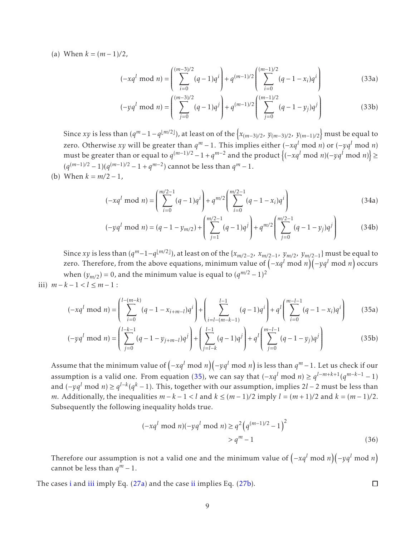(a) When  $k = (m-1)/2$ ,

$$
(-xq^{l} \bmod n) = \left(\sum_{i=0}^{(m-3)/2} (q-1)q^{i}\right) + q^{(m-1)/2} \left(\sum_{i=0}^{(m-1)/2} (q-1-x_{i})q^{i}\right)
$$
(33a)

$$
(-yq^{l} \bmod n) = \left(\sum_{j=0}^{(m-3)/2} (q-1)q^{j}\right) + q^{(m-1)/2} \left(\sum_{j=0}^{(m-1)/2} (q-1-y_{j})q^{j}\right)
$$
(33b)

Since *xy* is less than  $(q^m - 1 - q^{\lfloor m/2 \rfloor})$ , at least on of the  $\{x_{(m-3)/2}, y_{(m-3)/2}, y_{(m-1)/2}\}$  must be equal to zero. Otherwise *xy* will be greater than  $q^m - 1$ . This implies either  $(-xq^l \mod n)$  or  $(-yq^l \mod n)$ must be greater than or equal to  $q^{(m-1)/2} - 1 + q^{m-2}$  and the product  $\left\{(-xq^l \bmod n)(-yq^l \bmod n)\right\}$  ≥  $(q^{(m-1)/2} - 1)(q^{(m-1)/2} - 1 + q^{m-2})$  cannot be less than  $q^m − 1$ .

(b) When  $k = m/2 - 1$ ,

$$
(-xq^{l} \bmod n) = \left(\sum_{i=0}^{m/2-1} (q-1)q^{i}\right) + q^{m/2} \left(\sum_{i=0}^{m/2-1} (q-1-x_{i})q^{i}\right)
$$
(34a)

$$
(-yq^{l} \bmod n) = (q-1-y_{m/2}) + \left(\sum_{j=1}^{m/2-1} (q-1)q^{j}\right) + q^{m/2} \left(\sum_{j=0}^{m/2-1} (q-1-y_{j})q^{j}\right)
$$
(34b)

Since *xy* is less than  $(q^m-1-q^{\lfloor m/2 \rfloor})$ , at least on of the  $\{x_{m/2-2}, x_{m/2-1}, y_{m/2}, y_{m/2-1}\}$  must be equal to zero. Therefore, from the above equations, minimum value of  $\left(-xq^l \bmod n\right)\left(-yq^l \bmod n\right)$  occurs when  $(y_{m/2}) = 0$ , and the minimum value is equal to  $(q^{m/2} - 1)^2$ iii)  $m-k-1 < l \le m-1$ :

$$
(-xq^{l} \bmod n) = \left(\sum_{i=0}^{l-(m-k)} (q-1-x_{i+m-l})q^{i}\right) + \left(\sum_{i=l-(m-k-1)}^{l-1} (q-1)q^{i}\right) + q^{l}\left(\sum_{i=0}^{m-l-1} (q-1-x_{i})q^{i}\right)
$$
(35a)

$$
(-yq^{l} \bmod n) = \left(\sum_{j=0}^{l-k-1} (q-1-y_{j+m-l})q^{j}\right) + \left(\sum_{j=l-k}^{l-1} (q-1)q^{j}\right) + q^{l}\left(\sum_{j=0}^{m-l-1} (q-1-y_{j})q^{j}\right)
$$
(35b)

Assume that the minimum value of  $\left(-xq^l \bmod n\right)\left(-yq^l \bmod n\right)$  is less than  $q^m-1.$  Let us check if our assumption is a valid one. From equation (35), we can say that  $(-xq^l \mod n) \ge q^{l-m+k+1}(q^{m-k-1}-1)$ and (−*yq<sup>l</sup>* mod *<sup>n</sup>*) <sup>≥</sup> *<sup>q</sup> l*−*k* (*q <sup>k</sup>* <sup>−</sup> 1). This, together with our assumption, implies 2*<sup>l</sup>* <sup>−</sup> 2 must be less than *m*. Additionally, the inequalities  $m - k - 1 < l$  and  $k ≤ (m - 1)/2$  imply  $l = (m + 1)/2$  and  $k = (m - 1)/2$ . Subsequently the following inequality holds true.

$$
(-xq^{l} \bmod n)(-yq^{l} \bmod n) \ge q^{2} (q^{(m-1)/2} - 1)^{2}
$$
  
>  $q^{m} - 1$  (36)

 $\Box$ 

Therefore our assumption is not a valid one and the minimum value of  $\left(-xq^{l} \bmod n\right)\left(-yq^{l} \bmod n\right)$ cannot be less than  $q^m - 1$ .

The cases i and iii imply Eq. (27a) and the case ii implies Eq. (27b).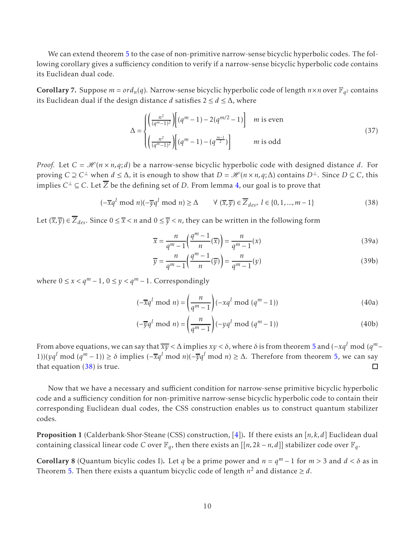We can extend theorem 5 to the case of non-primitive narrow-sense bicyclic hyperbolic codes. The following corollary gives a sufficiency condition to verify if a narrow-sense bicyclic hyperbolic code contains its Euclidean dual code.

**Corollary** 7. Suppose  $m = ord_n(q)$ . Narrow-sense bicyclic hyperbolic code of length  $n \times n$  over  $\mathbb{F}_{q^2}$  contains its Euclidean dual if the design distance *<sup>d</sup>* satisfies 2 <sup>≤</sup> *<sup>d</sup>* <sup>≤</sup> <sup>∆</sup>, where

$$
\Delta = \begin{cases} \left(\frac{n^2}{(q^m-1)^2}\right) \left[ (q^m-1) - 2(q^{m/2}-1) \right] & m \text{ is even} \\ \left(\frac{n^2}{(q^m-1)^2}\right) \left[ (q^m-1) - (q^{\frac{m-1}{2}}) \right] & m \text{ is odd} \end{cases}
$$
(37)

*Proof.* Let  $C = \mathcal{H}(n \times n, q; d)$  be a narrow-sense bicyclic hyperbolic code with designed distance *d*. For proving *C* ⊇ *C*<sup>⊥</sup> when *d* ≤ Δ, it is enough to show that *D* =  $\mathcal{H}(n \times n, q; \Delta)$  contains *D*<sup>⊥</sup>. Since *D* ⊆ *C*, this implies  $C^{\perp} \subseteq C$ . Let *Z* be the defining set of *D*. From lemma 4, our goal is to prove that

$$
(-\overline{x}q^{l} \bmod n)(-\overline{y}q^{l} \bmod n) \ge \Delta \qquad \forall (\overline{x}, \overline{y}) \in \overline{Z}_{des}, l \in \{0, 1, ..., m-1\}
$$
\n(38)

Let  $(\overline{x},\overline{y}) \in \overline{Z}_{des}$ . Since  $0 \leq \overline{x} < n$  and  $0 \leq \overline{y} < n$ , they can be written in the following form

$$
\overline{x} = \frac{n}{q^m - 1} \left( \frac{q^m - 1}{n} (\overline{x}) \right) = \frac{n}{q^m - 1} (x)
$$
\n(39a)

$$
\overline{y} = \frac{n}{q^m - 1} \left( \frac{q^m - 1}{n} (\overline{y}) \right) = \frac{n}{q^m - 1} (y)
$$
\n(39b)

where  $0 \le x < q^m - 1$ ,  $0 \le y < q^m - 1$ . Correspondingly

$$
(-\overline{x}q^{l} \bmod n) = \left(\frac{n}{q^{m}-1}\right)(-xq^{l} \bmod (q^{m}-1))
$$
\n(40a)

$$
(-\overline{y}q^{l} \bmod n) = \left(\frac{n}{q^{m}-1}\right)(-yq^{l} \bmod (q^{m}-1))
$$
\n(40b)

From above equations, we can say that  $\overline{xy} < \Delta$  implies  $xy < \delta$ , where  $\delta$  is from theorem 5 and  $(-xq^l \mod (q^m -$ 1))(*yq<sup>l</sup>* mod (*q <sup>m</sup>* <sup>−</sup> 1)) <sup>≥</sup> *<sup>δ</sup>* implies (−*xq<sup>l</sup>* mod *<sup>n</sup>*)(−*yq<sup>l</sup>* mod *<sup>n</sup>*) <sup>≥</sup> <sup>∆</sup>. Therefore from theorem 5, we can say that equation  $(38)$  is true. П

Now that we have a necessary and sufficient condition for narrow-sense primitive bicyclic hyperbolic code and a sufficiency condition for non-primitive narrow-sense bicyclic hyperbolic code to contain their corresponding Euclidean dual codes, the CSS construction enables us to construct quantum stabilizer codes.

Proposition 1 (Calderbank-Shor-Steane (CSS) construction, [4]). If there exists an [*n,k, d*] Euclidean dual containing classical linear code *C* over  $\mathbb{F}_q$ , then there exists an  $[[n,2k-n,d]]$  stabilizer code over  $\mathbb{F}_q$ .

Corollary 8 (Quantum bicylic codes I). Let *q* be a prime power and  $n = q^m - 1$  for  $m > 3$  and  $d < \delta$  as in Theorem 5. Then there exists a quantum bicyclic code of length  $n^2$  and distance  $\geq d$ .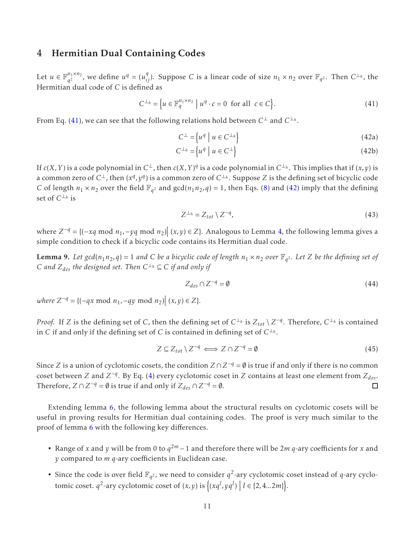## 4 Hermitian Dual Containing Codes

Let  $u \in \mathbb{F}_{q^2}^{n_1 \times n_2}$ , we define  $u^q = (u_{ij}^q)$ . Suppose *C* is a linear code of size  $n_1 \times n_2$  over  $\mathbb{F}_{q^2}$ . Then  $C^{\perp_h}$ , the Hermitian dual code of *C* is defined as

$$
C^{\perp_h} = \left\{ u \in \mathbb{F}_q^{n_1 \times n_2} \mid u^q \cdot c = 0 \text{ for all } c \in C \right\}.
$$
 (41)

From Eq. (41), we can see that the following relations hold between C⊥ and C⊥*h*.

$$
C^{\perp} = \left\{ u^q \mid u \in C^{\perp_h} \right\} \tag{42a}
$$

$$
C^{\perp_h} = \left\{ u^q \mid u \in C^{\perp} \right\} \tag{42b}
$$

If  $c(X, Y)$  is a code polynomial in  $C^{\perp}$ , then  $c(X, Y)^q$  is a code polynomial in  $C^{\perp_h}$ . This implies that if  $(x, y)$  is a common zero of  $C^{\perp}$ , then  $(x^q, y^q)$  is a common zero of  $C^{\perp_h}$ . Suppose  $Z$  is the defining set of bicyclic code *C* of length  $n_1 \times n_2$  over the field  $\mathbb{F}_{q^2}$  and  $gcd(n_1 n_2, q) = 1$ , then Eqs. (8) and (42) imply that the defining set of C<sup>⊥<sub>*h*</sub> is</sup>

$$
Z^{\perp_h} = Z_{tot} \setminus Z^{-q},\tag{43}
$$

where  $Z^{-q} = \{(-xq \mod n_1, -yq \mod n_2) | (x, y) \in Z\}$ . Analogous to Lemma 4, the following lemma gives a simple condition to check if a bicyclic code contains its Hermitian dual code.

**Lemma 9.** Let  $gcd(n_1n_2, q) = 1$  and C be a bicyclic code of length  $n_1 \times n_2$  over  $\mathbb{F}_{q^2}$ . Let Z be the defining set of  $C$  *and*  $Z_{des}$  *the designed set. Then*  $C^{\perp_h} \subseteq C$  *if and only if* 

$$
Z_{des} \cap Z^{-q} = \emptyset \tag{44}
$$

 $where Z^{-q} = \{ (-qx \text{ mod } n_1, -qy \text{ mod } n_2) | (x, y) \in Z \}.$ 

*Proof.* If *Z* is the defining set of *C*, then the defining set of  $C^{\perp_h}$  is  $Z_{tot} \setminus Z^{-q}$ . Therefore,  $C^{\perp_h}$  is contained in  $C$  if and only if the defining set of  $C$  is contained in defining set of  $C^{\perp_h}.$ 

$$
Z \subseteq Z_{tot} \setminus Z^{-q} \iff Z \cap Z^{-q} = \emptyset \tag{45}
$$

Since *Z* is a union of cyclotomic cosets, the condition  $Z \cap Z^{-q} = \emptyset$  is true if and only if there is no common coset between *Z* and  $Z^{-q}$ . By Eq. (4) every cyclotomic coset in *Z* contains at least one element from  $Z_{des}$ . Therefore,  $Z \cap Z^{-q} = \emptyset$  is true if and only if  $Z_{des} \cap Z^{-q} = \emptyset$ . □

Extending lemma 6, the following lemma about the structural results on cyclotomic cosets will be useful in proving results for Hermitian dual containing codes. The proof is very much similar to the proof of lemma 6 with the following key differences.

- Range of *x* and *y* will be from 0 to  $q^{2m} 1$  and therefore there will be  $2m$   $q$ -ary coefficients for *x* and *y* compared to *m q*-ary coefficients in Euclidean case.
- Since the code is over field  $\mathbb{F}_{q^2}$ , we need to consider  $q^2$ -ary cyclotomic coset instead of *q*-ary cyclotomic coset.  $q^2$ -ary cyclotomic coset of  $(x, y)$  is  $\{(xq^l, yq^l) | l \in \{2, 4...2m\}\}.$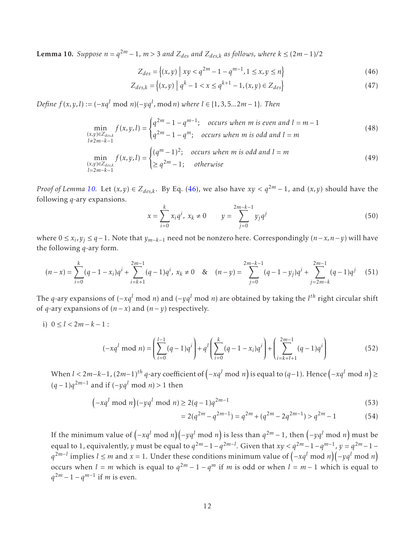**Lemma 10.** Suppose  $n = q^{2m} - 1$ ,  $m > 3$  and  $Z_{des}$  and  $Z_{des,k}$  as follows, where  $k ≤ (2m-1)/2$ 

$$
Z_{des} = \{(x, y) \mid xy < q^{2m} - 1 - q^{m-1}, 1 \le x, y \le n\} \tag{46}
$$

$$
Z_{des,k} = \{(x, y) \mid q^k - 1 < x \le q^{k+1} - 1, (x, y) \in Z_{des}\} \tag{47}
$$

*Define <sup>f</sup>* (*x,y,l*) := (−*xq<sup>l</sup>* mod *<sup>n</sup>*)(−*yq<sup>l</sup> ,* mod*n*) *where l* ∈ {1*,*3*,*5*...*2*m* − 1}*. Then*

$$
\min_{\substack{(x,y)\in Z_{des,k}\\l\neq 2m-k-1}} f(x,y,l) = \begin{cases} q^{2m} - 1 - q^{m-1}; & \text{occurs when } m \text{ is even and } l = m-1\\ q^{2m} - 1 - q^m; & \text{occurs when } m \text{ is odd and } l = m \end{cases}
$$
\n(48)  
\n
$$
\min_{\substack{(x,y)\in Z_{des,k}\\l=2m-k-1}} f(x,y,l) = \begin{cases} (q^m - 1)^2; & \text{occurs when } m \text{ is odd and } l = m\\ \geq q^{2m} - 1; & \text{otherwise} \end{cases}
$$
\n(49)

*Proof of Lemma* 10. Let  $(x, y) \in Z_{des,k}$ . By Eq. (46), we also have  $xy < q^{2m} - 1$ , and  $(x, y)$  should have the following *q*-ary expansions.

$$
x = \sum_{i=0}^{k} x_i q^i, \ x_k \neq 0 \qquad y = \sum_{j=0}^{2m-k-1} y_j q^j \tag{50}
$$

where 0 ≤ *x<sup>i</sup> ,y<sup>j</sup>* ≤ *q*−1. Note that *ym*−*k*−<sup>1</sup> need not be nonzero here. Correspondingly (*n*−*x,n*−*y*) will have the following *q*-ary form.

$$
(n-x) = \sum_{i=0}^{k} (q-1-x_i)q^i + \sum_{i=k+1}^{2m-1} (q-1)q^i, \ x_k \neq 0 \quad \& \quad (n-y) = \sum_{j=0}^{2m-k-1} (q-1-y_j)q^i + \sum_{j=2m-k}^{2m-1} (q-1)q^j \tag{51}
$$

The *<sup>q</sup>*-ary expansions of (−*xq<sup>l</sup>* mod *<sup>n</sup>*) and (−*yq<sup>l</sup>* mod *<sup>n</sup>*) are obtained by taking the *<sup>l</sup> th* right circular shift of *q*-ary expansions of  $(n − x)$  and  $(n − y)$  respectively.

i)  $0 \le l < 2m - k - 1$ :

$$
(-xq^{l} \bmod n) = \left(\sum_{i=0}^{l-1} (q-1)q^{i}\right) + q^{l} \left(\sum_{i=0}^{k} (q-1-x_{i})q^{i}\right) + \left(\sum_{i=k+l+1}^{2m-1} (q-1)q^{i}\right)
$$
(52)

When  $l < 2m-k-1$  ,  $(2m-1)^{th}$   $q$ -ary coefficient of  $(-xq^l \bmod n)$  is equal to  $(q-1)$ . Hence  $(-xq^l \bmod n) \ge$ (*q* − 1)*q* <sup>2</sup>*m*−<sup>1</sup> and if (−*yq<sup>l</sup>* mod *<sup>n</sup>*) *<sup>&</sup>gt;* 1 then

$$
\left(-xq^{l} \bmod n\right)(-yq^{l} \bmod n) \ge 2(q-1)q^{2m-1} \tag{53}
$$

$$
= 2(q^{2m} - q^{2m-1}) = q^{2m} + (q^{2m} - 2q^{2m-1}) > q^{2m} - 1
$$
 (54)

If the minimum value of  $(-xq^l \bmod n)(-yq^l \bmod n)$  is less than  $q^{2m}-1$ , then  $(-yq^l \bmod n)$  must be equal to 1, equivalently, *y* must be equal to  $q^{2m}-1-q^{2m-l}$ . Given that  $xy < q^{2m}-1-q^{m-1}$ ,  $y=q^{2m}-1-q^{m-l}$ *q*<sup>2*m−l*</sup> implies *l* ≤ *m* and *x* = 1. Under these conditions minimum value of  $(-xq^l \text{ mod } n)(-yq^l \text{ mod } n)$ occurs when  $l = m$  which is equal to  $q^{2m} - 1 - q^m$  if *m* is odd or when  $l = m - 1$  which is equal to *q*<sup>2*m*</sup> − 1 − *q*<sup>*m*−1</sup> if *m* is even.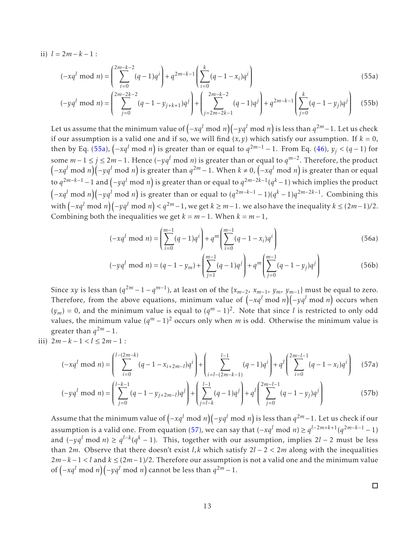ii)  $l = 2m - k - 1$ :

$$
(-xq^{l} \bmod n) = \left(\sum_{i=0}^{2m-k-2} (q-1)q^{i}\right) + q^{2m-k-1} \left(\sum_{i=0}^{k} (q-1-x_{i})q^{i}\right)
$$
(55a)

$$
(-yq^{l} \bmod n) = \left(\sum_{j=0}^{2m-2k-2} (q-1-y_{j+k+1})q^{j}\right) + \left(\sum_{j=2m-2k-1}^{2m-k-2} (q-1)q^{j}\right) + q^{2m-k-1} \left(\sum_{j=0}^{k} (q-1-y_{j})q^{j}\right) \tag{55b}
$$

Let us assume that the minimum value of  $(-xq^l \bmod n)(-yq^l \bmod n)$  is less than  $q^{2m}-1.$  Let us check if our assumption is a valid one and if so, we will find  $(x, y)$  which satisfy our assumption. If  $k = 0$ , then by Eq. (55a),  $\left(-xq^l \bmod n\right)$  is greater than or equal to  $q^{2m-1} - 1$ . From Eq. (46),  $y_j < (q - 1)$  for some  $m-1 \le j \le 2m-1$ . Hence  $(-yq^l \mod n)$  is greater than or equal to  $q^{m-2}$ . Therefore, the product  $(-xq^l \bmod n)(-yq^l \bmod n)$  is greater than  $q^{2m}-1$ . When  $k\neq 0$ ,  $(-xq^l \bmod n)$  is greater than or equal to *q* <sup>2</sup>*m*−*k*−<sup>1</sup> <sup>−</sup>1 and <sup>−</sup>*yq<sup>l</sup>* mod *<sup>n</sup>* is greater than or equal to *q* 2*m*−2*k*−1 (*q <sup>k</sup>* <sup>−</sup>1) which implies the product  $(-xq^l \bmod n)(-yq^l \bmod n)$  is greater than or equal to  $(q^{2m-k-1}-1)(q^k-1)q^{2m-2k-1}$ . Combining this with  $(-xq^l \bmod n)(-yq^l \bmod n) < q^{2m}-1$ , we get  $k \ge m-1$ . we also have the inequality  $k \le (2m-1)/2$ . Combining both the inequalities we get  $k = m - 1$ . When  $k = m - 1$ ,

$$
(-xq^{l} \bmod n) = \left(\sum_{i=0}^{m-1} (q-1)q^{i}\right) + q^{m} \left(\sum_{i=0}^{m-1} (q-1-x_{i})q^{i}\right)
$$
(56a)

$$
(-yq^{l} \bmod n) = (q-1-y_{m}) + \left(\sum_{j=1}^{m-1} (q-1)q^{j}\right) + q^{m} \left(\sum_{j=0}^{m-1} (q-1-y_{j})q^{j}\right)
$$
(56b)

Since *xy* is less than  $(q^{2m} - 1 - q^{m-1})$ , at least on of the  $\{x_{m-2}, x_{m-1}, y_m, y_{m-1}\}$  must be equal to zero. Therefore, from the above equations, minimum value of  $(-xq^l \bmod n)(-yq^l \bmod n)$  occurs when  $(y_m) = 0$ , and the minimum value is equal to  $(q^m - 1)^2$ . Note that since *l* is restricted to only odd values, the minimum value  $(q^m - 1)^2$  occurs only when *m* is odd. Otherwise the minimum value is greater than  $q^{2m} - 1$ .

iii)  $2m-k-1 < l \leq 2m-1$ :

$$
(-xq^{l} \bmod n) = \left(\sum_{i=0}^{l-(2m-k)} (q-1-x_{i+2m-l})q^{i}\right) + \left(\sum_{i=l-(2m-k-1)}^{l-1} (q-1)q^{i}\right) + q^{l}\left(\sum_{i=0}^{2m-l-1} (q-1-x_{i})q^{i}\right)
$$
(57a)

$$
(-yq^{l} \bmod n) = \left(\sum_{j=0}^{l-k-1} (q-1-y_{j+2m-l})q^{j}\right) + \left(\sum_{j=l-k}^{l-1} (q-1)q^{j}\right) + q^{l}\left(\sum_{j=0}^{2m-l-1} (q-1-y_{j})q^{j}\right)
$$
(57b)

Assume that the minimum value of  $\left(-xq^l \bmod n\right)\left(-yq^l \bmod n\right)$  is less than  $q^{2m}-1.$  Let us check if our assumption is a valid one. From equation (57), we can say that  $(-xq^l \mod n) \ge q^{l-2m+k+1}(q^{2m-k-1}-1)$ and  $(-yq^l \mod n) \ge q^{l-k}(q^k-1)$ . This, together with our assumption, implies 2*l* − 2 must be less than 2*m*. Observe that there doesn't exist *l,k* which satisfy 2*l* − 2 *<* 2*m* along with the inequalities 2*m*−*k* −1 *< l* and *k* ≤ (2*m*−1)*/*2. Therefore our assumption is not a valid one and the minimum value of  $(-xq^l \mod n)(-yq^l \mod n)$  cannot be less than  $q^{2m}-1$ .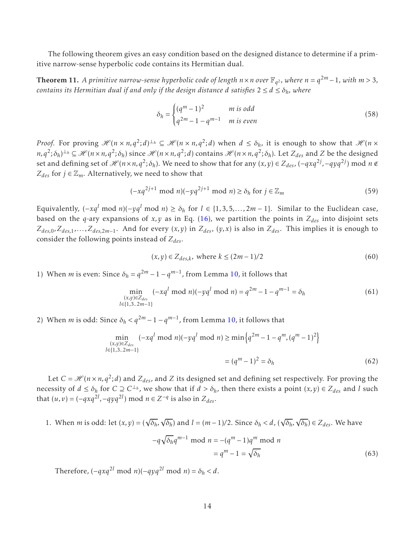The following theorem gives an easy condition based on the designed distance to determine if a primitive narrow-sense hyperbolic code contains its Hermitian dual.

**Theorem 11.** A primitive narrow-sense hyperbolic code of length  $n \times n$  over  $\mathbb{F}_{q^2}$ , where  $n = q^{2m} - 1$ , with  $m > 3$ , *contains its Hermitian dual if and only if the design distance <i>d satisfies*  $2 \le d \le \delta_h$ *, where* 

$$
\delta_h = \begin{cases}\n(q^m - 1)^2 & m \text{ is odd} \\
q^{2m} - 1 - q^{m-1} & m \text{ is even}\n\end{cases}
$$
\n(58)

*Proof.* For proving  $\mathscr{H}(n \times n, q^2; d)^{\perp_h} \subseteq \mathscr{H}(n \times n, q^2; d)$  when  $d \leq \delta_h$ , it is enough to show that  $\mathscr{H}(n \times n, q^2; d)$  $n, q^2; \delta_h$ )<sup> $\perp_h \subseteq \mathcal{H}(n \times n, q^2; \delta_h)$  since  $\mathcal{H}(n \times n, q^2; d)$  contains  $\mathcal{H}(n \times n, q^2; \delta_h)$ . Let  $Z_{des}$  and Z be the designed</sup> set and defining set of  $\mathscr{H}(n \times n, q^2; \delta_h)$ . We need to show that for any  $(x, y) \in Z_{des}$ ,  $(-qxq^{2j}, -qyq^{2j})$  mod  $n \notin$  $Z_{des}$  for *j* ∈  $\mathbb{Z}_m$ . Alternatively, we need to show that

$$
(-xq^{2j+1} \bmod n)(-yq^{2j+1} \bmod n) \ge \delta_h \text{ for } j \in \mathbb{Z}_m
$$
 (59)

Equivalently,  $(-xq^l \mod n)(-yq^l \mod n) \ge \delta_h$  for  $l \in \{1,3,5,\ldots,2m-1\}$ . Similar to the Euclidean case, based on the *q*-ary expansions of *x*, *y* as in Eq. (16), we partition the points in  $Z_{des}$  into disjoint sets  $Z_{des,0}, Z_{des,1}, \ldots, Z_{des,2m-1}$ . And for every  $(x, y)$  in  $Z_{des}$ ,  $(y, x)$  is also in  $Z_{des}$ . This implies it is enough to consider the following points instead of *Zdes*.

$$
(x, y) \in Z_{des,k}, \text{ where } k \le (2m - 1)/2 \tag{60}
$$

1) When *m* is even: Since  $\delta_h = q^{2m} - 1 - q^{m-1}$ , from Lemma 10, it follows that

$$
\min_{\substack{(x,y)\in Z_{des}\\l\in\{1,3..2m-1\}}} (-xq^l \bmod n)(-yq^l \bmod n) = q^{2m} - 1 - q^{m-1} = \delta_h
$$
\n(61)

2) When *m* is odd: Since  $\delta_h < q^{2m} - 1 - q^{m-1}$ , from Lemma 10, it follows that

$$
\min_{\substack{(x,y)\in Z_{des}\\l\in\{1,3..2m-1\}}} (-xq^l \bmod n)(-yq^l \bmod n) \ge \min\left\{q^{2m}-1-q^m,(q^m-1)^2\right\}
$$

$$
= (q^m-1)^2 = \delta_h \tag{62}
$$

Let  $C = \mathcal{H}(n \times n, q^2; d)$  and  $Z_{des}$ , and  $Z$  its designed set and defining set respectively. For proving the necessity of  $d \le \delta_h$  for  $C \supseteq C^{\perp_h}$ , we show that if  $d > \delta_h$ , then there exists a point  $(x, y) \in Z_{des}$  and *l* such that  $(u, v) = (-qxq^{2l}, -qyq^{2l}) \text{ mod } n \in \mathbb{Z}^{-q} \text{ is also in } \mathbb{Z}_{des}.$ 

1. When *m* is odd: let  $(x, y) = (\sqrt{\delta_h}, \sqrt{\delta_h})$  and  $l = (m-1)/2$ . Since  $\delta_h < d$ ,  $(\sqrt{\delta_h}, \sqrt{\delta_h}) \in Z_{des}$ . We have  $-q\sqrt{\delta_h}q^{m-1}$  mod  $n = -(q^m - 1)q^m$  mod *n*  $=q^m-1=\sqrt{ }$ *δ<sup>h</sup>* (63)

Therefore,  $(-qxq^{2l} \text{ mod } n)(-qyq^{2l} \text{ mod } n) = \delta_h < d$ .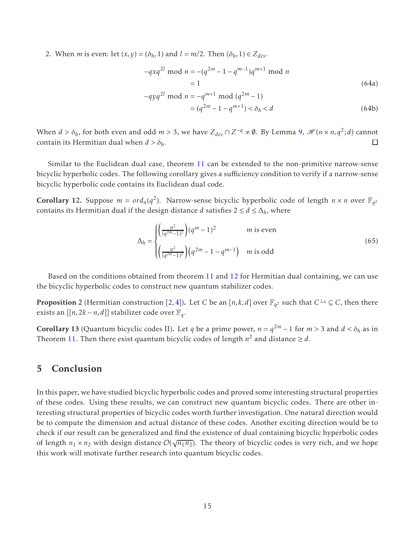2. When *m* is even: let  $(x, y) = (\delta_h, 1)$  and  $l = m/2$ . Then  $(\delta_h, 1) \in Z_{des}$ .

$$
-qxq^{2l} \mod n = -(q^{2m} - 1 - q^{m-1})q^{m+1} \mod n
$$
  
= 1  

$$
-qyq^{2l} \mod n = -q^{m+1} \mod (q^{2m} - 1)
$$
 (64a)

$$
yq^{2l} \text{ mod } n = -q^{m+1} \text{ mod } (q^{2m} - 1)
$$
  
=  $(q^{2m} - 1 - q^{m+1}) < \delta_h < d$  (64b)

When  $d > \delta_h$ , for both even and odd  $m > 3$ , we have  $Z_{des} \cap Z^{-q} \neq \emptyset$ . By Lemma 9,  $\mathcal{H}(n \times n, q^2; d)$  cannot contain its Hermitian dual when  $d > \delta_h$ .  $\Box$ 

Similar to the Euclidean dual case, theorem 11 can be extended to the non-primitive narrow-sense bicyclic hyperbolic codes. The following corollary gives a sufficiency condition to verify if a narrow-sense bicyclic hyperbolic code contains its Euclidean dual code.

**Corollary 12.** Suppose  $m = ord_n(q^2)$ . Narrow-sense bicyclic hyperbolic code of length  $n \times n$  over  $\mathbb{F}_{q^2}$ contains its Hermitian dual if the design distance *d* satisfies  $2 \le d \le \Delta_h$ , where

$$
\Delta_h = \begin{cases} \left(\frac{n^2}{(q^{2m}-1)^2}\right)(q^m-1)^2 & m \text{ is even} \\ \left(\frac{n^2}{(q^{2m}-1)^2}\right)(q^{2m}-1-q^{m-1}) & m \text{ is odd} \end{cases}
$$
(65)

Based on the conditions obtained from theorem 11 and 12 for Hermitian dual containing, we can use the bicyclic hyperbolic codes to construct new quantum stabilizer codes.

**Proposition** 2 (Hermitian construction [2, 4]). Let *C* be an [*n*,*k*,*d*] over  $\mathbb{F}_{q^2}$  such that  $C^{\perp_h} \subseteq C$ , then there exists an [[*n*, 2*k* − *n*, *d*]] stabilizer code over  $\mathbb{F}_q$ .

Corollary 13 (Quantum bicyclic codes II). Let *q* be a prime power,  $n = q^{2m} - 1$  for  $m > 3$  and  $d < \delta_h$  as in Theorem 11. Then there exist quantum bicyclic codes of length  $n^2$  and distance  $\geq d$ .

### 5 Conclusion

In this paper, we have studied bicyclic hyperbolic codes and proved some interesting structural properties of these codes. Using these results, we can construct new quantum bicyclic codes. There are other interesting structural properties of bicyclic codes worth further investigation. One natural direction would be to compute the dimension and actual distance of these codes. Another exciting direction would be to check if our result can be generalized and find the existence of dual containing bicyclic hyperbolic codes of length  $n_1 \times n_2$  with design distance  $\mathcal{O}(\sqrt{n_1 n_2})$ . The theory of bicyclic codes is very rich, and we hope this work will motivate further research into quantum bicyclic codes.